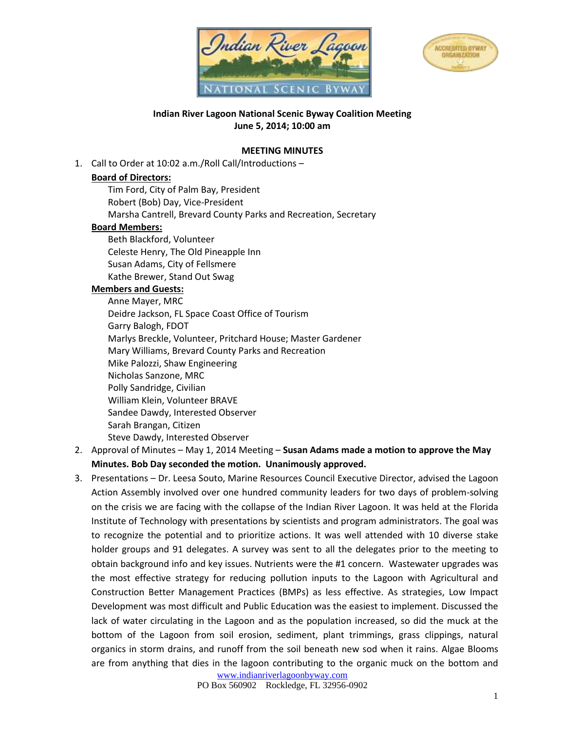



**Indian River Lagoon National Scenic Byway Coalition Meeting June 5, 2014; 10:00 am**

## **MEETING MINUTES**

1. Call to Order at 10:02 a.m./Roll Call/Introductions –

## **Board of Directors:**

Tim Ford, City of Palm Bay, President Robert (Bob) Day, Vice-President Marsha Cantrell, Brevard County Parks and Recreation, Secretary **Board Members:** Beth Blackford, Volunteer Celeste Henry, The Old Pineapple Inn Susan Adams, City of Fellsmere

Kathe Brewer, Stand Out Swag

## **Members and Guests:**

Anne Mayer, MRC Deidre Jackson, FL Space Coast Office of Tourism Garry Balogh, FDOT Marlys Breckle, Volunteer, Pritchard House; Master Gardener Mary Williams, Brevard County Parks and Recreation Mike Palozzi, Shaw Engineering Nicholas Sanzone, MRC Polly Sandridge, Civilian William Klein, Volunteer BRAVE Sandee Dawdy, Interested Observer Sarah Brangan, Citizen Steve Dawdy, Interested Observer

- 2. Approval of Minutes May 1, 2014 Meeting **Susan Adams made a motion to approve the May Minutes. Bob Day seconded the motion. Unanimously approved.**
- 3. Presentations Dr. Leesa Souto, Marine Resources Council Executive Director, advised the Lagoon Action Assembly involved over one hundred community leaders for two days of problem-solving on the crisis we are facing with the collapse of the Indian River Lagoon. It was held at the [Florida](http://www.fit.edu/)  [Institute of Technology](http://www.fit.edu/) with presentations by scientists and program administrators. The goal was to recognize the potential and to prioritize actions. It was well attended with 10 diverse stake holder groups and 91 delegates. A survey was sent to all the delegates prior to the meeting to obtain background info and key issues. Nutrients were the #1 concern. Wastewater upgrades was the most effective strategy for reducing pollution inputs to the Lagoon with Agricultural and Construction Better Management Practices (BMPs) as less effective. As strategies, Low Impact Development was most difficult and Public Education was the easiest to implement. Discussed the lack of water circulating in the Lagoon and as the population increased, so did the muck at the bottom of the Lagoon from soil erosion, sediment, plant trimmings, grass clippings, natural organics in storm drains, and runoff from the soil beneath new sod when it rains. Algae Blooms are from anything that dies in the lagoon contributing to the organic muck on the bottom and

[www.indianriverlagoonbyway.com](http://www.indianriverlagoonbyway.com/)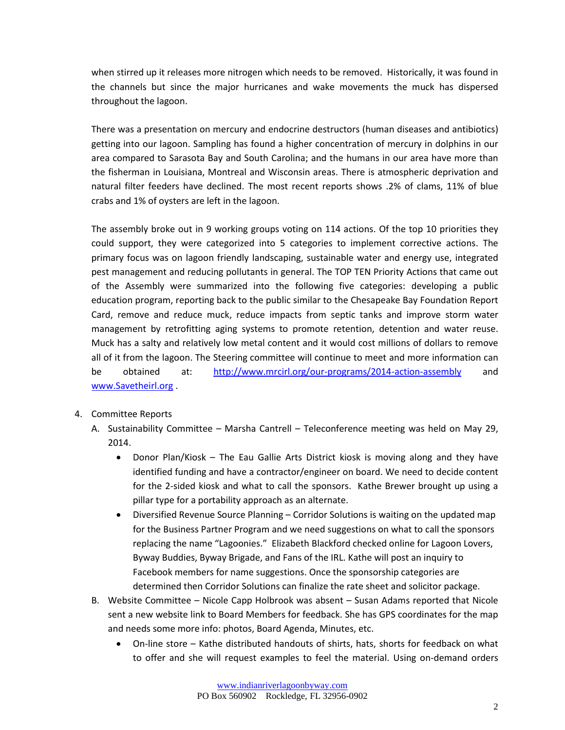when stirred up it releases more nitrogen which needs to be removed. Historically, it was found in the channels but since the major hurricanes and wake movements the muck has dispersed throughout the lagoon.

There was a presentation on mercury and endocrine destructors (human diseases and antibiotics) getting into our lagoon. Sampling has found a higher concentration of mercury in dolphins in our area compared to Sarasota Bay and South Carolina; and the humans in our area have more than the fisherman in Louisiana, Montreal and Wisconsin areas. There is atmospheric deprivation and natural filter feeders have declined. The most recent reports shows .2% of clams, 11% of blue crabs and 1% of oysters are left in the lagoon.

The assembly broke out in 9 working groups voting on 114 actions. Of the top 10 priorities they could support, they were categorized into 5 categories to implement corrective actions. The primary focus was on lagoon friendly landscaping, sustainable water and energy use, integrated pest management and reducing pollutants in general. The TOP TEN Priority Actions that came out of the Assembly were summarized into the following five categories: developing a public education program, reporting back to the public similar to the Chesapeake Bay Foundation Report Card, remove and reduce muck, reduce impacts from septic tanks and improve storm water management by retrofitting aging systems to promote retention, detention and water reuse. Muck has a salty and relatively low metal content and it would cost millions of dollars to remove all of it from the lagoon. The Steering committee will continue to meet and more information can be obtained at: <http://www.mrcirl.org/our-programs/2014-action-assembly> and [www.Savetheirl.org](http://www.savetheirl.org/) .

- 4. Committee Reports
	- A. Sustainability Committee Marsha Cantrell Teleconference meeting was held on May 29, 2014.
		- Donor Plan/Kiosk The Eau Gallie Arts District kiosk is moving along and they have identified funding and have a contractor/engineer on board. We need to decide content for the 2-sided kiosk and what to call the sponsors. Kathe Brewer brought up using a pillar type for a portability approach as an alternate.
		- Diversified Revenue Source Planning Corridor Solutions is waiting on the updated map for the Business Partner Program and we need suggestions on what to call the sponsors replacing the name "Lagoonies." Elizabeth Blackford checked online for Lagoon Lovers, Byway Buddies, Byway Brigade, and Fans of the IRL. Kathe will post an inquiry to Facebook members for name suggestions. Once the sponsorship categories are determined then Corridor Solutions can finalize the rate sheet and solicitor package.
	- B. Website Committee Nicole Capp Holbrook was absent Susan Adams reported that Nicole sent a new website link to Board Members for feedback. She has GPS coordinates for the map and needs some more info: photos, Board Agenda, Minutes, etc.
		- On-line store Kathe distributed handouts of shirts, hats, shorts for feedback on what to offer and she will request examples to feel the material. Using on-demand orders